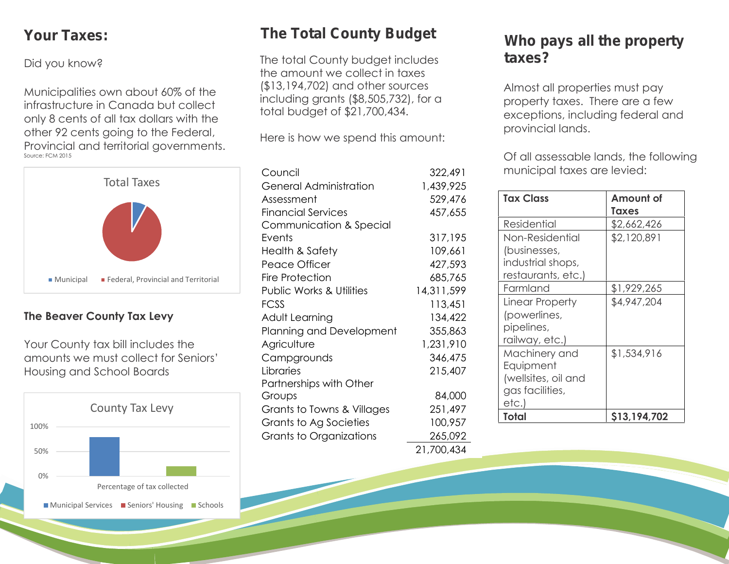### *Your Taxes:*

Did you know?

Municipalities own about 60% of the infrastructure in Canada but collect only 8 cents of all tax dollars with the other 92 cents going to the Federal, Provincial and territorial governments. Source: FCM 2015



### **The Beaver County Tax Levy**

Your County tax bill includes the amounts we must collect for Seniors' Housing and School Boards



# *The Total County Budget*

The total County budget includes the amount we collect in taxes (\$13,194,702) and other sources including grants (\$8,505,732), for a total budget of \$21,700,434.

Here is how we spend this amount:

| Council                             | 322,491    | r                        |
|-------------------------------------|------------|--------------------------|
| <b>General Administration</b>       | 1,439,925  |                          |
| Assessment                          | 529,476    | Ī                        |
| <b>Financial Services</b>           | 457,655    |                          |
| Communication & Special             |            | $\overline{\mathbf{R}}$  |
| Events                              | 317,195    | $\mathsf{L}$             |
| <b>Health &amp; Safety</b>          | 109,661    |                          |
| Peace Officer                       | 427,593    | ÌI                       |
| <b>Fire Protection</b>              | 685,765    | r                        |
| <b>Public Works &amp; Utilities</b> | 14,311,599 | F                        |
| <b>FCSS</b>                         | 113,451    | $\overline{\mathsf{L}}%$ |
| Adult Learning                      | 134,422    |                          |
| Planning and Development            | 355,863    | $\mathsf{K}$             |
| Agriculture                         | 1,231,910  | r                        |
| Campgrounds                         | 346,475    | $\wedge$                 |
| Libraries                           | 215,407    | E                        |
| Partnerships with Other             |            | $\big($                  |
| Groups                              | 84,000     | c<br>e                   |
| Grants to Towns & Villages          | 251,497    | T                        |
| Grants to Ag Societies              | 100,957    |                          |
| Grants to Organizations             | 265,092    |                          |
|                                     | 21,700,434 |                          |

### *Who pays all the property taxes?*

Almost all properties must pay property taxes. There are a few exceptions, including federal and provincial lands.

Of all assessable lands, the following municipal taxes are levied:

| <b>Tax Class</b>                                                              | Amount of<br>Taxes |
|-------------------------------------------------------------------------------|--------------------|
| Residential                                                                   | \$2,662,426        |
| Non-Residential<br>(businesses,<br>industrial shops,<br>restaurants, etc.)    | \$2,120,891        |
| Farmland                                                                      | \$1,929,265        |
| Linear Property<br>(powerlines,<br>pipelines,<br>railway, etc.)               | \$4,947,204        |
| Machinery and<br>Equipment<br>(wellsites, oil and<br>gas facilities,<br>etc.) | \$1,534,916        |
| Total                                                                         | \$13,194,702       |